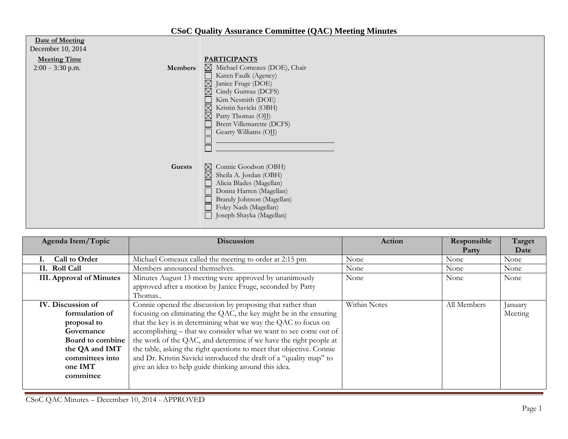## **CSoC Quality Assurance Committee (QAC) Meeting Minutes**

| Date of Meeting<br>December 10, 2014      |                |                                                                                                                                                                                                                                                                                            |
|-------------------------------------------|----------------|--------------------------------------------------------------------------------------------------------------------------------------------------------------------------------------------------------------------------------------------------------------------------------------------|
| <b>Meeting Time</b><br>$2:00 - 3:30$ p.m. | <b>Members</b> | <b>PARTICIPANTS</b><br>$\boxtimes$ Michael Comeaux (DOE), Chair<br>Karen Faulk (Agency)<br>Janice Fruge (DOE)<br>$\boxtimes$<br>Cindy Guitrau (DCFS)<br>Kim Nesmith (DOE)<br>Kristin Savicki (OBH)<br>⊠<br>Patty Thomas (OJJ)<br><b>Brent Villemarette (DCFS)</b><br>Gearry Williams (OJJ) |
|                                           | Guests         | Connie Goodson (OBH)<br>⊠<br>$\boxtimes$<br>Sheila A. Jordan (OBH)<br>Alicia Blades (Magellan)<br>Donna Harren (Magellan)<br>Brandy Johnson (Magellan)<br>Foley Nash (Magellan)<br>Joseph Shayka (Magellan)                                                                                |

| Agenda Item/Topic                                                                                                                                 | <b>Discussion</b>                                                                                                                                                                                                                                                                                                                                                                                                                                                                                                                                 | Action       | Responsible<br>Party | Target<br>Date     |
|---------------------------------------------------------------------------------------------------------------------------------------------------|---------------------------------------------------------------------------------------------------------------------------------------------------------------------------------------------------------------------------------------------------------------------------------------------------------------------------------------------------------------------------------------------------------------------------------------------------------------------------------------------------------------------------------------------------|--------------|----------------------|--------------------|
| <b>Call to Order</b>                                                                                                                              | Michael Comeaux called the meeting to order at 2:15 pm                                                                                                                                                                                                                                                                                                                                                                                                                                                                                            | None         | None                 | None               |
| II. Roll Call                                                                                                                                     | Members announced themselves.                                                                                                                                                                                                                                                                                                                                                                                                                                                                                                                     | None         | None                 | None               |
| <b>III.</b> Approval of Minutes                                                                                                                   | Minutes August 13 meeting were approved by unanimously<br>approved after a motion by Janice Fruge, seconded by Patty<br>Thomas                                                                                                                                                                                                                                                                                                                                                                                                                    | None         | None                 | None               |
| IV. Discussion of<br>formulation of<br>proposal to<br>Governance<br>Board to combine<br>the QA and IMT<br>committees into<br>one IMT<br>committee | Connie opened the discussion by proposing that rather than<br>focusing on eliminating the QAC, the key might be in the ensuring<br>that the key is in determining what we way the QAC to focus on<br>accomplishing – that we consider what we want to see come out of<br>the work of the QAC, and determine if we have the right people at<br>the table, asking the right questions to meet that objective. Connie<br>and Dr. Kristin Savicki introduced the draft of a "quality map" to<br>give an idea to help guide thinking around this idea. | Within Notes | All Members          | January<br>Meeting |